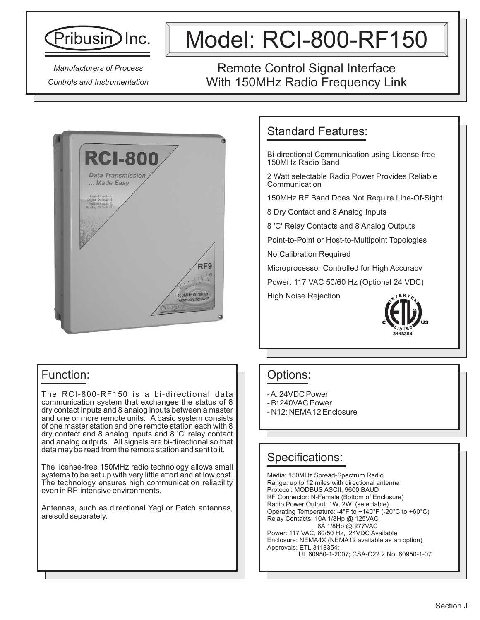

# Model: RCI-800-RF150

*Manufacturers of Process Controls and Instrumentation*

# Remote Control Signal Interface With 150MHz Radio Frequency Link



## Standard Features:

Bi-directional Communication using License-free 150MHz Radio Band

2 Watt selectable Radio Power Provides Reliable Communication

150MHz RF Band Does Not Require Line-Of-Sight

8 Dry Contact and 8 Analog Inputs

8 'C' Relay Contacts and 8 Analog Outputs

Point-to-Point or Host-to-Multipoint Topologies

No Calibration Required

Microprocessor Controlled for High Accuracy

Power: 117 VAC 50/60 Hz (Optional 24 VDC)

High Noise Rejection



#### Options:

- A: 24VDC Power
- B: 240VAC Power
- N12: NEMA12 Enclosure

### Specifications:

Media: 150MHz Spread-Spectrum Radio Range: up to 12 miles with directional antenna Protocol: MODBUS ASCII, 9600 BAUD RF Connector: N-Female (Bottom of Enclosure) Radio Power Output: 1W, 2W (selectable) Operating Temperature: -4°F to +140°F (-20°C to +60°C) Relay Contacts: 10A 1/8Hp @ 125VAC 6A 1/8Hp @ 277VAC Power: 117 VAC, 60/50 Hz, 24VDC Available Enclosure: NEMA4X (NEMA12 available as an option) Approvals: ETL 3118354: UL 60950-1-2007; CSA-C22.2 No. 60950-1-07

# Function:

The RCI-800-RF150 is a bi-directional data communication system that exchanges the status of 8 dry contact inputs and 8 analog inputs between a master and one or more remote units. A basic system consists of one master station and one remote station each with 8 dry contact and 8 analog inputs and 8 'C' relay contact and analog outputs. All signals are bi-directional so that data may be read from the remote station and sent to it.

The license-free 150MHz radio technology allows small systems to be set up with very little effort and at low cost. The technology ensures high communication reliability even in RF-intensive environments.

Antennas, such as directional Yagi or Patch antennas, are sold separately.